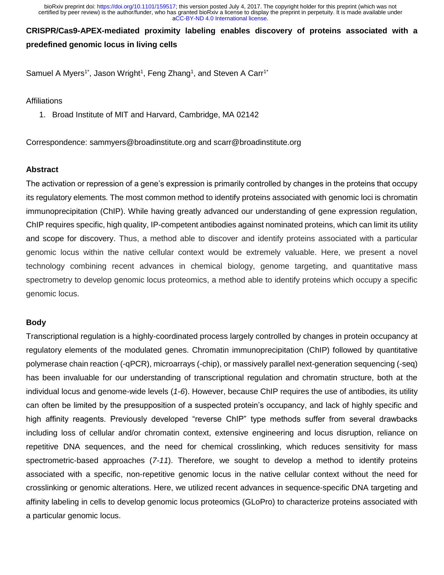**CRISPR/Cas9-APEX-mediated proximity labeling enables discovery of proteins associated with a predefined genomic locus in living cells**

Samuel A Myers<sup>1\*</sup>, Jason Wright<sup>1</sup>, Feng Zhang<sup>1</sup>, and Steven A Carr<sup>1\*</sup>

## **Affiliations**

1. Broad Institute of MIT and Harvard, Cambridge, MA 02142

Correspondence: sammyers@broadinstitute.org and scarr@broadinstitute.org

## **Abstract**

The activation or repression of a gene's expression is primarily controlled by changes in the proteins that occupy its regulatory elements. The most common method to identify proteins associated with genomic loci is chromatin immunoprecipitation (ChIP). While having greatly advanced our understanding of gene expression regulation, ChIP requires specific, high quality, IP-competent antibodies against nominated proteins, which can limit its utility and scope for discovery. Thus, a method able to discover and identify proteins associated with a particular genomic locus within the native cellular context would be extremely valuable. Here, we present a novel technology combining recent advances in chemical biology, genome targeting, and quantitative mass spectrometry to develop genomic locus proteomics, a method able to identify proteins which occupy a specific genomic locus.

# **Body**

Transcriptional regulation is a highly-coordinated process largely controlled by changes in protein occupancy at regulatory elements of the modulated genes. Chromatin immunoprecipitation (ChIP) followed by quantitative polymerase chain reaction (-qPCR), microarrays (-chip), or massively parallel next-generation sequencing (-seq) has been invaluable for our understanding of transcriptional regulation and chromatin structure, both at the individual locus and genome-wide levels (*1-6*). However, because ChIP requires the use of antibodies, its utility can often be limited by the presupposition of a suspected protein's occupancy, and lack of highly specific and high affinity reagents. Previously developed "reverse ChIP" type methods suffer from several drawbacks including loss of cellular and/or chromatin context, extensive engineering and locus disruption, reliance on repetitive DNA sequences, and the need for chemical crosslinking, which reduces sensitivity for mass spectrometric-based approaches (*7-11*). Therefore, we sought to develop a method to identify proteins associated with a specific, non-repetitive genomic locus in the native cellular context without the need for crosslinking or genomic alterations. Here, we utilized recent advances in sequence-specific DNA targeting and affinity labeling in cells to develop genomic locus proteomics (GLoPro) to characterize proteins associated with a particular genomic locus.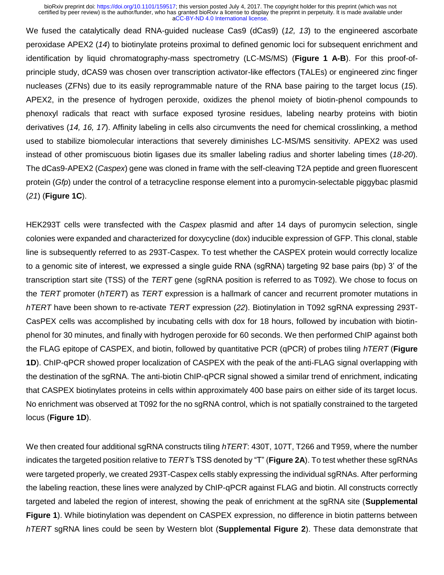We fused the catalytically dead RNA-guided nuclease Cas9 (dCas9) (*12, 13*) to the engineered ascorbate peroxidase APEX2 (*14*) to biotinylate proteins proximal to defined genomic loci for subsequent enrichment and identification by liquid chromatography-mass spectrometry (LC-MS/MS) (**Figure 1 A-B**). For this proof-ofprinciple study, dCAS9 was chosen over transcription activator-like effectors (TALEs) or engineered zinc finger nucleases (ZFNs) due to its easily reprogrammable nature of the RNA base pairing to the target locus (*15*). APEX2, in the presence of hydrogen peroxide, oxidizes the phenol moiety of biotin-phenol compounds to phenoxyl radicals that react with surface exposed tyrosine residues, labeling nearby proteins with biotin derivatives (*14, 16, 17*). Affinity labeling in cells also circumvents the need for chemical crosslinking, a method used to stabilize biomolecular interactions that severely diminishes LC-MS/MS sensitivity. APEX2 was used instead of other promiscuous biotin ligases due its smaller labeling radius and shorter labeling times (*18-20*). The dCas9-APEX2 (*Caspex*) gene was cloned in frame with the self-cleaving T2A peptide and green fluorescent protein (*Gfp*) under the control of a tetracycline response element into a puromycin-selectable piggybac plasmid (*21*) (**Figure 1C**).

HEK293T cells were transfected with the *Caspex* plasmid and after 14 days of puromycin selection, single colonies were expanded and characterized for doxycycline (dox) inducible expression of GFP. This clonal, stable line is subsequently referred to as 293T-Caspex. To test whether the CASPEX protein would correctly localize to a genomic site of interest, we expressed a single guide RNA (sgRNA) targeting 92 base pairs (bp) 3' of the transcription start site (TSS) of the *TERT* gene (sgRNA position is referred to as T092). We chose to focus on the *TERT* promoter (*hTERT*) as *TERT* expression is a hallmark of cancer and recurrent promoter mutations in *hTERT* have been shown to re-activate *TERT* expression (*22*). Biotinylation in T092 sgRNA expressing 293T-CasPEX cells was accomplished by incubating cells with dox for 18 hours, followed by incubation with biotinphenol for 30 minutes, and finally with hydrogen peroxide for 60 seconds. We then performed ChIP against both the FLAG epitope of CASPEX, and biotin, followed by quantitative PCR (qPCR) of probes tiling *hTERT* (**Figure 1D**). ChIP-qPCR showed proper localization of CASPEX with the peak of the anti-FLAG signal overlapping with the destination of the sgRNA. The anti-biotin ChIP-qPCR signal showed a similar trend of enrichment, indicating that CASPEX biotinylates proteins in cells within approximately 400 base pairs on either side of its target locus. No enrichment was observed at T092 for the no sgRNA control, which is not spatially constrained to the targeted locus (**Figure 1D**).

We then created four additional sgRNA constructs tiling *hTERT*: 430T, 107T, T266 and T959, where the number indicates the targeted position relative to *TERT'*s TSS denoted by "T" (**Figure 2A**). To test whether these sgRNAs were targeted properly, we created 293T-Caspex cells stably expressing the individual sgRNAs. After performing the labeling reaction, these lines were analyzed by ChIP-qPCR against FLAG and biotin. All constructs correctly targeted and labeled the region of interest, showing the peak of enrichment at the sgRNA site (**Supplemental Figure 1**). While biotinylation was dependent on CASPEX expression, no difference in biotin patterns between *hTERT* sgRNA lines could be seen by Western blot (**Supplemental Figure 2**). These data demonstrate that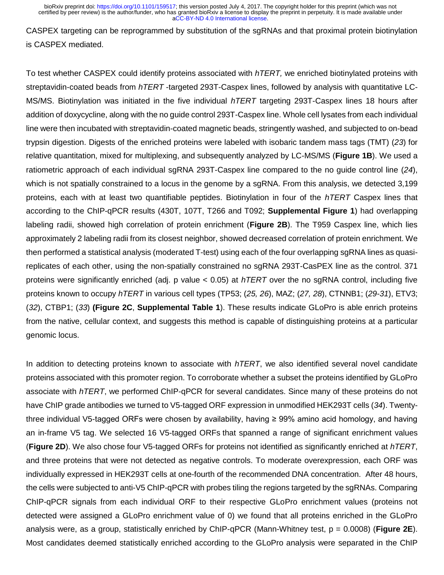CASPEX targeting can be reprogrammed by substitution of the sgRNAs and that proximal protein biotinylation is CASPEX mediated.

To test whether CASPEX could identify proteins associated with *hTERT,* we enriched biotinylated proteins with streptavidin-coated beads from *hTERT* -targeted 293T-Caspex lines, followed by analysis with quantitative LC-MS/MS. Biotinylation was initiated in the five individual *hTERT* targeting 293T-Caspex lines 18 hours after addition of doxycycline, along with the no guide control 293T-Caspex line. Whole cell lysates from each individual line were then incubated with streptavidin-coated magnetic beads, stringently washed, and subjected to on-bead trypsin digestion. Digests of the enriched proteins were labeled with isobaric tandem mass tags (TMT) (*23*) for relative quantitation, mixed for multiplexing, and subsequently analyzed by LC-MS/MS (**Figure 1B**). We used a ratiometric approach of each individual sgRNA 293T-Caspex line compared to the no guide control line (*24*), which is not spatially constrained to a locus in the genome by a sgRNA. From this analysis, we detected 3,199 proteins, each with at least two quantifiable peptides. Biotinylation in four of the *hTERT* Caspex lines that according to the ChIP-qPCR results (430T, 107T, T266 and T092; **Supplemental Figure 1**) had overlapping labeling radii, showed high correlation of protein enrichment (**Figure 2B**). The T959 Caspex line, which lies approximately 2 labeling radii from its closest neighbor, showed decreased correlation of protein enrichment. We then performed a statistical analysis (moderated T-test) using each of the four overlapping sgRNA lines as quasireplicates of each other, using the non-spatially constrained no sgRNA 293T-CasPEX line as the control. 371 proteins were significantly enriched (adj. p value < 0.05) at *hTERT* over the no sgRNA control, including five proteins known to occupy *hTERT* in various cell types (TP53; (*25, 26*), MAZ; (*27, 28*), CTNNB1; (*29-31*), ETV3; (*32*), CTBP1; (*33*) **(Figure 2C**, **Supplemental Table 1**). These results indicate GLoPro is able enrich proteins from the native, cellular context, and suggests this method is capable of distinguishing proteins at a particular genomic locus.

In addition to detecting proteins known to associate with *hTERT*, we also identified several novel candidate proteins associated with this promoter region. To corroborate whether a subset the proteins identified by GLoPro associate with *hTERT*, we performed ChIP-qPCR for several candidates. Since many of these proteins do not have ChIP grade antibodies we turned to V5-tagged ORF expression in unmodified HEK293T cells (*34*). Twentythree individual V5-tagged ORFs were chosen by availability, having ≥ 99% amino acid homology, and having an in-frame V5 tag. We selected 16 V5-tagged ORFs that spanned a range of significant enrichment values (**Figure 2D**). We also chose four V5-tagged ORFs for proteins not identified as significantly enriched at *hTERT*, and three proteins that were not detected as negative controls. To moderate overexpression, each ORF was individually expressed in HEK293T cells at one-fourth of the recommended DNA concentration. After 48 hours, the cells were subjected to anti-V5 ChIP-qPCR with probes tiling the regions targeted by the sgRNAs. Comparing ChIP-qPCR signals from each individual ORF to their respective GLoPro enrichment values (proteins not detected were assigned a GLoPro enrichment value of 0) we found that all proteins enriched in the GLoPro analysis were, as a group, statistically enriched by ChIP-qPCR (Mann-Whitney test, p = 0.0008) (**Figure 2E**). Most candidates deemed statistically enriched according to the GLoPro analysis were separated in the ChIP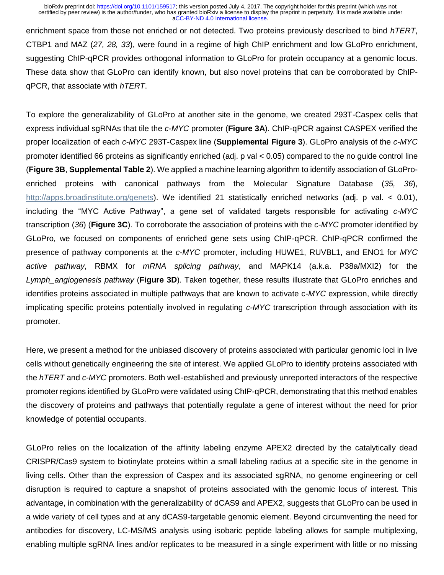enrichment space from those not enriched or not detected. Two proteins previously described to bind *hTERT*, CTBP1 and MAZ (*27, 28, 33*), were found in a regime of high ChIP enrichment and low GLoPro enrichment, suggesting ChIP-qPCR provides orthogonal information to GLoPro for protein occupancy at a genomic locus. These data show that GLoPro can identify known, but also novel proteins that can be corroborated by ChIPqPCR, that associate with *hTERT*.

To explore the generalizability of GLoPro at another site in the genome, we created 293T-Caspex cells that express individual sgRNAs that tile the *c-MYC* promoter (**Figure 3A**). ChIP-qPCR against CASPEX verified the proper localization of each *c-MYC* 293T-Caspex line (**Supplemental Figure 3**). GLoPro analysis of the *c-MYC* promoter identified 66 proteins as significantly enriched (adj. p val < 0.05) compared to the no guide control line (**Figure 3B**, **Supplemental Table 2**). We applied a machine learning algorithm to identify association of GLoProenriched proteins with canonical pathways from the Molecular Signature Database (*35, 36*), [http://apps.broadinstitute.org/genets\)](http://apps.broadinstitute.org/genets). We identified 21 statistically enriched networks (adj. p val. < 0.01), including the "MYC Active Pathway", a gene set of validated targets responsible for activating *c-MYC* transcription (*36*) (**Figure 3C**). To corroborate the association of proteins with the *c-MYC* promoter identified by GLoPro, we focused on components of enriched gene sets using ChIP-qPCR. ChIP-qPCR confirmed the presence of pathway components at the *c-MYC* promoter, including HUWE1, RUVBL1, and ENO1 for *MYC active pathway*, RBMX for *mRNA splicing pathway*, and MAPK14 (a.k.a. P38a/MXI2) for the *Lymph\_angiogenesis pathway* (**Figure 3D**). Taken together, these results illustrate that GLoPro enriches and identifies proteins associated in multiple pathways that are known to activate c-*MYC* expression, while directly implicating specific proteins potentially involved in regulating *c-MYC* transcription through association with its promoter.

Here, we present a method for the unbiased discovery of proteins associated with particular genomic loci in live cells without genetically engineering the site of interest. We applied GLoPro to identify proteins associated with the *hTERT* and *c-MYC* promoters. Both well-established and previously unreported interactors of the respective promoter regions identified by GLoPro were validated using ChIP-qPCR, demonstrating that this method enables the discovery of proteins and pathways that potentially regulate a gene of interest without the need for prior knowledge of potential occupants.

GLoPro relies on the localization of the affinity labeling enzyme APEX2 directed by the catalytically dead CRISPR/Cas9 system to biotinylate proteins within a small labeling radius at a specific site in the genome in living cells. Other than the expression of Caspex and its associated sgRNA, no genome engineering or cell disruption is required to capture a snapshot of proteins associated with the genomic locus of interest. This advantage, in combination with the generalizability of dCAS9 and APEX2, suggests that GLoPro can be used in a wide variety of cell types and at any dCAS9-targetable genomic element. Beyond circumventing the need for antibodies for discovery, LC-MS/MS analysis using isobaric peptide labeling allows for sample multiplexing, enabling multiple sgRNA lines and/or replicates to be measured in a single experiment with little or no missing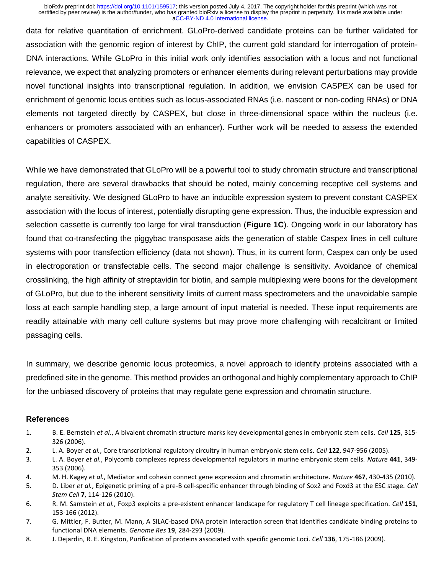data for relative quantitation of enrichment. GLoPro-derived candidate proteins can be further validated for association with the genomic region of interest by ChIP, the current gold standard for interrogation of protein-DNA interactions. While GLoPro in this initial work only identifies association with a locus and not functional relevance, we expect that analyzing promoters or enhancer elements during relevant perturbations may provide novel functional insights into transcriptional regulation. In addition, we envision CASPEX can be used for enrichment of genomic locus entities such as locus-associated RNAs (i.e. nascent or non-coding RNAs) or DNA elements not targeted directly by CASPEX, but close in three-dimensional space within the nucleus (i.e. enhancers or promoters associated with an enhancer). Further work will be needed to assess the extended capabilities of CASPEX.

While we have demonstrated that GLoPro will be a powerful tool to study chromatin structure and transcriptional regulation, there are several drawbacks that should be noted, mainly concerning receptive cell systems and analyte sensitivity. We designed GLoPro to have an inducible expression system to prevent constant CASPEX association with the locus of interest, potentially disrupting gene expression. Thus, the inducible expression and selection cassette is currently too large for viral transduction (**Figure 1C**). Ongoing work in our laboratory has found that co-transfecting the piggybac transposase aids the generation of stable Caspex lines in cell culture systems with poor transfection efficiency (data not shown). Thus, in its current form, Caspex can only be used in electroporation or transfectable cells. The second major challenge is sensitivity. Avoidance of chemical crosslinking, the high affinity of streptavidin for biotin, and sample multiplexing were boons for the development of GLoPro, but due to the inherent sensitivity limits of current mass spectrometers and the unavoidable sample loss at each sample handling step, a large amount of input material is needed. These input requirements are readily attainable with many cell culture systems but may prove more challenging with recalcitrant or limited passaging cells.

In summary, we describe genomic locus proteomics, a novel approach to identify proteins associated with a predefined site in the genome. This method provides an orthogonal and highly complementary approach to ChIP for the unbiased discovery of proteins that may regulate gene expression and chromatin structure.

## **References**

- 1. B. E. Bernstein *et al.*, A bivalent chromatin structure marks key developmental genes in embryonic stem cells. *Cell* **125**, 315- 326 (2006).
- 2. L. A. Boyer *et al.*, Core transcriptional regulatory circuitry in human embryonic stem cells. *Cell* **122**, 947-956 (2005).
- 3. L. A. Boyer *et al.*, Polycomb complexes repress developmental regulators in murine embryonic stem cells. *Nature* **441**, 349- 353 (2006).
- 4. M. H. Kagey *et al.*, Mediator and cohesin connect gene expression and chromatin architecture. *Nature* **467**, 430-435 (2010).
- 5. D. Liber *et al.*, Epigenetic priming of a pre-B cell-specific enhancer through binding of Sox2 and Foxd3 at the ESC stage. *Cell Stem Cell* **7**, 114-126 (2010).
- 6. R. M. Samstein *et al.*, Foxp3 exploits a pre-existent enhancer landscape for regulatory T cell lineage specification. *Cell* **151**, 153-166 (2012).
- 7. G. Mittler, F. Butter, M. Mann, A SILAC-based DNA protein interaction screen that identifies candidate binding proteins to functional DNA elements. *Genome Res* **19**, 284-293 (2009).
- 8. J. Dejardin, R. E. Kingston, Purification of proteins associated with specific genomic Loci. *Cell* **136**, 175-186 (2009).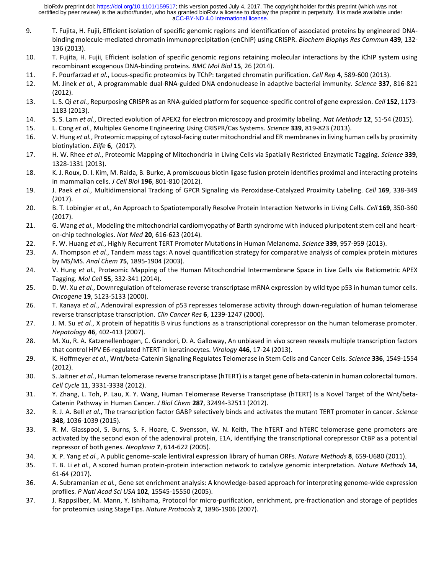- 9. T. Fujita, H. Fujii, Efficient isolation of specific genomic regions and identification of associated proteins by engineered DNAbinding molecule-mediated chromatin immunoprecipitation (enChIP) using CRISPR. *Biochem Biophys Res Commun* **439**, 132- 136 (2013).
- 10. T. Fujita, H. Fujii, Efficient isolation of specific genomic regions retaining molecular interactions by the iChIP system using recombinant exogenous DNA-binding proteins. *BMC Mol Biol* **15**, 26 (2014).
- 11. F. Pourfarzad *et al.*, Locus-specific proteomics by TChP: targeted chromatin purification. *Cell Rep* **4**, 589-600 (2013).
- 12. M. Jinek *et al.*, A programmable dual-RNA-guided DNA endonuclease in adaptive bacterial immunity. *Science* **337**, 816-821 (2012).
- 13. L. S. Qi *et al.*, Repurposing CRISPR as an RNA-guided platform for sequence-specific control of gene expression. *Cell* **152**, 1173- 1183 (2013).
- 14. S. S. Lam *et al.*, Directed evolution of APEX2 for electron microscopy and proximity labeling. *Nat Methods* **12**, 51-54 (2015).
- 15. L. Cong *et al.*, Multiplex Genome Engineering Using CRISPR/Cas Systems. *Science* **339**, 819-823 (2013).
- 16. V. Hung *et al.*, Proteomic mapping of cytosol-facing outer mitochondrial and ER membranes in living human cells by proximity biotinylation. *Elife* **6**, (2017).
- 17. H. W. Rhee *et al.*, Proteomic Mapping of Mitochondria in Living Cells via Spatially Restricted Enzymatic Tagging. *Science* **339**, 1328-1331 (2013).
- 18. K. J. Roux, D. I. Kim, M. Raida, B. Burke, A promiscuous biotin ligase fusion protein identifies proximal and interacting proteins in mammalian cells. *J Cell Biol* **196**, 801-810 (2012).
- 19. J. Paek *et al.*, Multidimensional Tracking of GPCR Signaling via Peroxidase-Catalyzed Proximity Labeling. *Cell* **169**, 338-349 (2017).
- 20. B. T. Lobingier *et al.*, An Approach to Spatiotemporally Resolve Protein Interaction Networks in Living Cells. *Cell* **169**, 350-360 (2017).
- 21. G. Wang *et al.*, Modeling the mitochondrial cardiomyopathy of Barth syndrome with induced pluripotent stem cell and hearton-chip technologies. *Nat Med* **20**, 616-623 (2014).
- 22. F. W. Huang *et al.*, Highly Recurrent TERT Promoter Mutations in Human Melanoma. *Science* **339**, 957-959 (2013).
- 23. A. Thompson *et al.*, Tandem mass tags: A novel quantification strategy for comparative analysis of complex protein mixtures by MS/MS. *Anal Chem* **75**, 1895-1904 (2003).
- 24. V. Hung *et al.*, Proteomic Mapping of the Human Mitochondrial Intermembrane Space in Live Cells via Ratiometric APEX Tagging. *Mol Cell* **55**, 332-341 (2014).
- 25. D. W. Xu *et al.*, Downregulation of telomerase reverse transcriptase mRNA expression by wild type p53 in human tumor cells. *Oncogene* **19**, 5123-5133 (2000).
- 26. T. Kanaya *et al.*, Adenoviral expression of p53 represses telomerase activity through down-regulation of human telomerase reverse transcriptase transcription. *Clin Cancer Res* **6**, 1239-1247 (2000).
- 27. J. M. Su *et al.*, X protein of hepatitis B virus functions as a transcriptional corepressor on the human telomerase promoter. *Hepatology* **46**, 402-413 (2007).
- 28. M. Xu, R. A. Katzenellenbogen, C. Grandori, D. A. Galloway, An unbiased in vivo screen reveals multiple transcription factors that control HPV E6-regulated hTERT in keratinocytes. *Virology* **446**, 17-24 (2013).
- 29. K. Hoffmeyer *et al.*, Wnt/beta-Catenin Signaling Regulates Telomerase in Stem Cells and Cancer Cells. *Science* **336**, 1549-1554 (2012).
- 30. S. Jaitner *et al.*, Human telomerase reverse transcriptase (hTERT) is a target gene of beta-catenin in human colorectal tumors. *Cell Cycle* **11**, 3331-3338 (2012).
- 31. Y. Zhang, L. Toh, P. Lau, X. Y. Wang, Human Telomerase Reverse Transcriptase (hTERT) Is a Novel Target of the Wnt/beta-Catenin Pathway in Human Cancer. *J Biol Chem* **287**, 32494-32511 (2012).
- 32. R. J. A. Bell *et al.*, The transcription factor GABP selectively binds and activates the mutant TERT promoter in cancer. *Science* **348**, 1036-1039 (2015).
- 33. R. M. Glasspool, S. Burns, S. F. Hoare, C. Svensson, W. N. Keith, The hTERT and hTERC telomerase gene promoters are activated by the second exon of the adenoviral protein, E1A, identifying the transcriptional corepressor CtBP as a potential repressor of both genes. *Neoplasia* **7**, 614-622 (2005).
- 34. X. P. Yang *et al.*, A public genome-scale lentiviral expression library of human ORFs. *Nature Methods* **8**, 659-U680 (2011).
- 35. T. B. Li *et al.*, A scored human protein-protein interaction network to catalyze genomic interpretation. *Nature Methods* **14**, 61-64 (2017).
- 36. A. Subramanian *et al.*, Gene set enrichment analysis: A knowledge-based approach for interpreting genome-wide expression profiles. *P Natl Acad Sci USA* **102**, 15545-15550 (2005).
- 37. J. Rappsilber, M. Mann, Y. Ishihama, Protocol for micro-purification, enrichment, pre-fractionation and storage of peptides for proteomics using StageTips. *Nature Protocols* **2**, 1896-1906 (2007).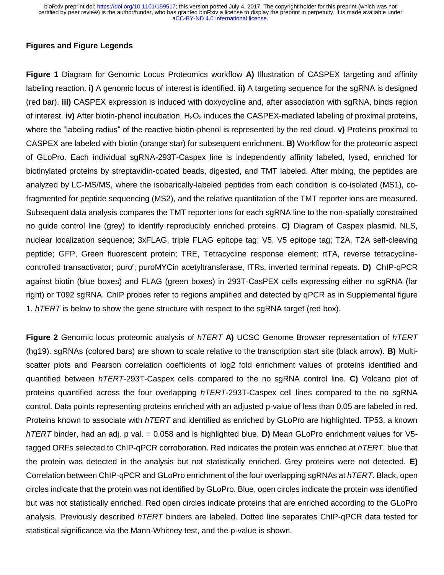## **Figures and Figure Legends**

**Figure 1** Diagram for Genomic Locus Proteomics workflow **A)** Illustration of CASPEX targeting and affinity labeling reaction. **i)** A genomic locus of interest is identified. **ii)** A targeting sequence for the sgRNA is designed (red bar). **iii)** CASPEX expression is induced with doxycycline and, after association with sgRNA, binds region of interest. **iv)** After biotin-phenol incubation, H<sub>2</sub>O<sub>2</sub> induces the CASPEX-mediated labeling of proximal proteins, where the "labeling radius" of the reactive biotin-phenol is represented by the red cloud. **v)** Proteins proximal to CASPEX are labeled with biotin (orange star) for subsequent enrichment. **B)** Workflow for the proteomic aspect of GLoPro. Each individual sgRNA-293T-Caspex line is independently affinity labeled, lysed, enriched for biotinylated proteins by streptavidin-coated beads, digested, and TMT labeled. After mixing, the peptides are analyzed by LC-MS/MS, where the isobarically-labeled peptides from each condition is co-isolated (MS1), cofragmented for peptide sequencing (MS2), and the relative quantitation of the TMT reporter ions are measured. Subsequent data analysis compares the TMT reporter ions for each sgRNA line to the non-spatially constrained no guide control line (grey) to identify reproducibly enriched proteins. **C)** Diagram of Caspex plasmid. NLS, nuclear localization sequence; 3xFLAG, triple FLAG epitope tag; V5, V5 epitope tag; T2A, T2A self-cleaving peptide; GFP, Green fluorescent protein; TRE, Tetracycline response element; rtTA, reverse tetracyclinecontrolled transactivator; puro<sup>r</sup>; puroMYCin acetyltransferase, ITRs, inverted terminal repeats. **D)** ChIP-qPCR against biotin (blue boxes) and FLAG (green boxes) in 293T-CasPEX cells expressing either no sgRNA (far right) or T092 sgRNA. ChIP probes refer to regions amplified and detected by qPCR as in Supplemental figure 1. *hTERT* is below to show the gene structure with respect to the sgRNA target (red box).

**Figure 2** Genomic locus proteomic analysis of *hTERT* **A)** UCSC Genome Browser representation of *hTERT* (hg19). sgRNAs (colored bars) are shown to scale relative to the transcription start site (black arrow). **B)** Multiscatter plots and Pearson correlation coefficients of log2 fold enrichment values of proteins identified and quantified between *hTERT*-293T-Caspex cells compared to the no sgRNA control line. **C)** Volcano plot of proteins quantified across the four overlapping *hTERT*-293T-Caspex cell lines compared to the no sgRNA control. Data points representing proteins enriched with an adjusted p-value of less than 0.05 are labeled in red. Proteins known to associate with *hTERT* and identified as enriched by GLoPro are highlighted. TP53, a known *hTERT* binder, had an adj. p val. = 0.058 and is highlighted blue. **D)** Mean GLoPro enrichment values for V5 tagged ORFs selected to ChIP-qPCR corroboration. Red indicates the protein was enriched at *hTERT*, blue that the protein was detected in the analysis but not statistically enriched. Grey proteins were not detected. **E)** Correlation between ChIP-qPCR and GLoPro enrichment of the four overlapping sgRNAs at *hTERT*. Black, open circles indicate that the protein was not identified by GLoPro. Blue, open circles indicate the protein was identified but was not statistically enriched. Red open circles indicate proteins that are enriched according to the GLoPro analysis. Previously described *hTERT* binders are labeled. Dotted line separates ChIP-qPCR data tested for statistical significance via the Mann-Whitney test, and the p-value is shown.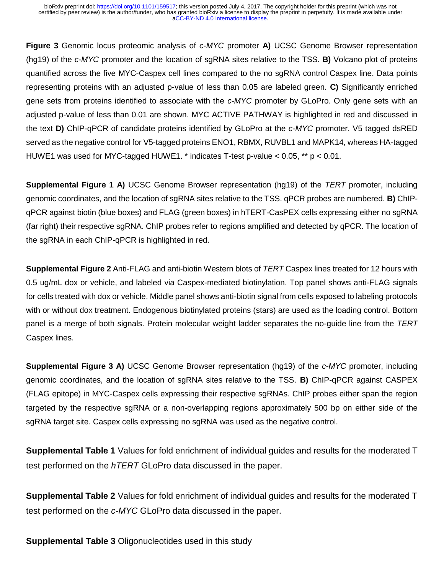**Figure 3** Genomic locus proteomic analysis of *c-MYC* promoter **A)** UCSC Genome Browser representation (hg19) of the *c-MYC* promoter and the location of sgRNA sites relative to the TSS. **B)** Volcano plot of proteins quantified across the five MYC-Caspex cell lines compared to the no sgRNA control Caspex line. Data points representing proteins with an adjusted p-value of less than 0.05 are labeled green. **C)** Significantly enriched gene sets from proteins identified to associate with the *c-MYC* promoter by GLoPro. Only gene sets with an adjusted p-value of less than 0.01 are shown. MYC ACTIVE PATHWAY is highlighted in red and discussed in the text **D)** ChIP-qPCR of candidate proteins identified by GLoPro at the *c-MYC* promoter. V5 tagged dsRED served as the negative control for V5-tagged proteins ENO1, RBMX, RUVBL1 and MAPK14, whereas HA-tagged HUWE1 was used for MYC-tagged HUWE1. \* indicates T-test p-value < 0.05, \*\* p < 0.01.

**Supplemental Figure 1 A)** UCSC Genome Browser representation (hg19) of the *TERT* promoter, including genomic coordinates, and the location of sgRNA sites relative to the TSS. qPCR probes are numbered. **B)** ChIPqPCR against biotin (blue boxes) and FLAG (green boxes) in hTERT-CasPEX cells expressing either no sgRNA (far right) their respective sgRNA. ChIP probes refer to regions amplified and detected by qPCR. The location of the sgRNA in each ChIP-qPCR is highlighted in red.

**Supplemental Figure 2** Anti-FLAG and anti-biotin Western blots of *TERT* Caspex lines treated for 12 hours with 0.5 ug/mL dox or vehicle, and labeled via Caspex-mediated biotinylation. Top panel shows anti-FLAG signals for cells treated with dox or vehicle. Middle panel shows anti-biotin signal from cells exposed to labeling protocols with or without dox treatment. Endogenous biotinylated proteins (stars) are used as the loading control. Bottom panel is a merge of both signals. Protein molecular weight ladder separates the no-guide line from the *TERT*  Caspex lines.

**Supplemental Figure 3 A)** UCSC Genome Browser representation (hg19) of the *c-MYC* promoter, including genomic coordinates, and the location of sgRNA sites relative to the TSS. **B)** ChIP-qPCR against CASPEX (FLAG epitope) in MYC-Caspex cells expressing their respective sgRNAs. ChIP probes either span the region targeted by the respective sgRNA or a non-overlapping regions approximately 500 bp on either side of the sgRNA target site. Caspex cells expressing no sgRNA was used as the negative control.

**Supplemental Table 1** Values for fold enrichment of individual guides and results for the moderated T test performed on the *hTERT* GLoPro data discussed in the paper.

**Supplemental Table 2** Values for fold enrichment of individual guides and results for the moderated T test performed on the *c-MYC* GLoPro data discussed in the paper.

**Supplemental Table 3** Oligonucleotides used in this study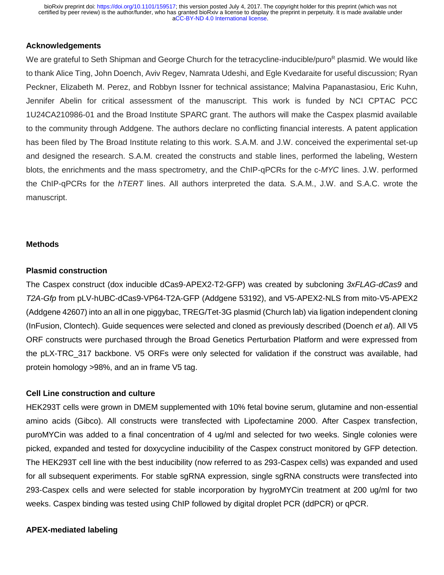## **Acknowledgements**

We are grateful to Seth Shipman and George Church for the tetracycline-inducible/puro<sup>R</sup> plasmid. We would like to thank Alice Ting, John Doench, Aviv Regev, Namrata Udeshi, and Egle Kvedaraite for useful discussion; Ryan Peckner, Elizabeth M. Perez, and Robbyn Issner for technical assistance; Malvina Papanastasiou, Eric Kuhn, Jennifer Abelin for critical assessment of the manuscript. This work is funded by NCI CPTAC PCC 1U24CA210986-01 and the Broad Institute SPARC grant. The authors will make the Caspex plasmid available to the community through Addgene. The authors declare no conflicting financial interests. A patent application has been filed by The Broad Institute relating to this work. S.A.M. and J.W. conceived the experimental set-up and designed the research. S.A.M. created the constructs and stable lines, performed the labeling, Western blots, the enrichments and the mass spectrometry, and the ChIP-qPCRs for the c-*MYC* lines. J.W. performed the ChIP-qPCRs for the *hTERT* lines. All authors interpreted the data. S.A.M., J.W. and S.A.C. wrote the manuscript.

#### **Methods**

#### **Plasmid construction**

The Caspex construct (dox inducible dCas9-APEX2-T2-GFP) was created by subcloning *3xFLAG-dCas9* and *T2A-Gfp* from pLV-hUBC-dCas9-VP64-T2A-GFP (Addgene 53192), and V5-APEX2-NLS from mito-V5-APEX2 (Addgene 42607) into an all in one piggybac, TREG/Tet-3G plasmid (Church lab) via ligation independent cloning (InFusion, Clontech). Guide sequences were selected and cloned as previously described (Doench *et al*). All V5 ORF constructs were purchased through the Broad Genetics Perturbation Platform and were expressed from the pLX-TRC 317 backbone. V5 ORFs were only selected for validation if the construct was available, had protein homology >98%, and an in frame V5 tag.

## **Cell Line construction and culture**

HEK293T cells were grown in DMEM supplemented with 10% fetal bovine serum, glutamine and non-essential amino acids (Gibco). All constructs were transfected with Lipofectamine 2000. After Caspex transfection, puroMYCin was added to a final concentration of 4 ug/ml and selected for two weeks. Single colonies were picked, expanded and tested for doxycycline inducibility of the Caspex construct monitored by GFP detection. The HEK293T cell line with the best inducibility (now referred to as 293-Caspex cells) was expanded and used for all subsequent experiments. For stable sgRNA expression, single sgRNA constructs were transfected into 293-Caspex cells and were selected for stable incorporation by hygroMYCin treatment at 200 ug/ml for two weeks. Caspex binding was tested using ChIP followed by digital droplet PCR (ddPCR) or qPCR.

#### **APEX-mediated labeling**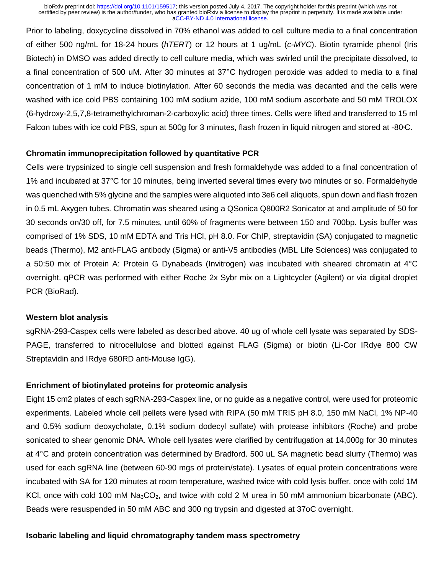Prior to labeling, doxycycline dissolved in 70% ethanol was added to cell culture media to a final concentration of either 500 ng/mL for 18-24 hours (*hTERT*) or 12 hours at 1 ug/mL (*c-MYC*). Biotin tyramide phenol (Iris Biotech) in DMSO was added directly to cell culture media, which was swirled until the precipitate dissolved, to a final concentration of 500 uM. After 30 minutes at 37°C hydrogen peroxide was added to media to a final concentration of 1 mM to induce biotinylation. After 60 seconds the media was decanted and the cells were washed with ice cold PBS containing 100 mM sodium azide, 100 mM sodium ascorbate and 50 mM TROLOX (6-hydroxy-2,5,7,8-tetramethylchroman-2-carboxylic acid) three times. Cells were lifted and transferred to 15 ml Falcon tubes with ice cold PBS, spun at 500g for 3 minutes, flash frozen in liquid nitrogen and stored at -80°C.

#### **Chromatin immunoprecipitation followed by quantitative PCR**

Cells were trypsinized to single cell suspension and fresh formaldehyde was added to a final concentration of 1% and incubated at 37°C for 10 minutes, being inverted several times every two minutes or so. Formaldehyde was quenched with 5% glycine and the samples were aliquoted into 3e6 cell aliquots, spun down and flash frozen in 0.5 mL Axygen tubes. Chromatin was sheared using a QSonica Q800R2 Sonicator at and amplitude of 50 for 30 seconds on/30 off, for 7.5 minutes, until 60% of fragments were between 150 and 700bp. Lysis buffer was comprised of 1% SDS, 10 mM EDTA and Tris HCl, pH 8.0. For ChIP, streptavidin (SA) conjugated to magnetic beads (Thermo), M2 anti-FLAG antibody (Sigma) or anti-V5 antibodies (MBL Life Sciences) was conjugated to a 50:50 mix of Protein A: Protein G Dynabeads (Invitrogen) was incubated with sheared chromatin at 4°C overnight. qPCR was performed with either Roche 2x Sybr mix on a Lightcycler (Agilent) or via digital droplet PCR (BioRad).

#### **Western blot analysis**

sgRNA-293-Caspex cells were labeled as described above. 40 ug of whole cell lysate was separated by SDS-PAGE, transferred to nitrocellulose and blotted against FLAG (Sigma) or biotin (Li-Cor IRdye 800 CW Streptavidin and IRdye 680RD anti-Mouse IgG).

# **Enrichment of biotinylated proteins for proteomic analysis**

Eight 15 cm2 plates of each sgRNA-293-Caspex line, or no guide as a negative control, were used for proteomic experiments. Labeled whole cell pellets were lysed with RIPA (50 mM TRIS pH 8.0, 150 mM NaCl, 1% NP-40 and 0.5% sodium deoxycholate, 0.1% sodium dodecyl sulfate) with protease inhibitors (Roche) and probe sonicated to shear genomic DNA. Whole cell lysates were clarified by centrifugation at 14,000g for 30 minutes at 4°C and protein concentration was determined by Bradford. 500 uL SA magnetic bead slurry (Thermo) was used for each sgRNA line (between 60-90 mgs of protein/state). Lysates of equal protein concentrations were incubated with SA for 120 minutes at room temperature, washed twice with cold lysis buffer, once with cold 1M KCI, once with cold 100 mM  $Na<sub>3</sub>CO<sub>2</sub>$ , and twice with cold 2 M urea in 50 mM ammonium bicarbonate (ABC). Beads were resuspended in 50 mM ABC and 300 ng trypsin and digested at 37oC overnight.

#### **Isobaric labeling and liquid chromatography tandem mass spectrometry**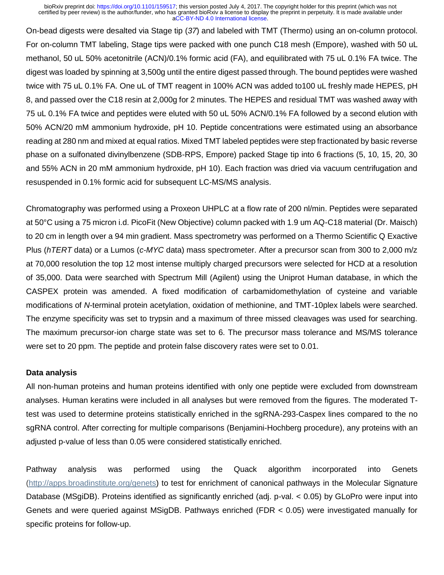On-bead digests were desalted via Stage tip (*37*) and labeled with TMT (Thermo) using an on-column protocol. For on-column TMT labeling, Stage tips were packed with one punch C18 mesh (Empore), washed with 50 uL methanol, 50 uL 50% acetonitrile (ACN)/0.1% formic acid (FA), and equilibrated with 75 uL 0.1% FA twice. The digest was loaded by spinning at 3,500g until the entire digest passed through. The bound peptides were washed twice with 75 uL 0.1% FA. One uL of TMT reagent in 100% ACN was added to100 uL freshly made HEPES, pH 8, and passed over the C18 resin at 2,000g for 2 minutes. The HEPES and residual TMT was washed away with 75 uL 0.1% FA twice and peptides were eluted with 50 uL 50% ACN/0.1% FA followed by a second elution with 50% ACN/20 mM ammonium hydroxide, pH 10. Peptide concentrations were estimated using an absorbance reading at 280 nm and mixed at equal ratios. Mixed TMT labeled peptides were step fractionated by basic reverse phase on a sulfonated divinylbenzene (SDB-RPS, Empore) packed Stage tip into 6 fractions (5, 10, 15, 20, 30 and 55% ACN in 20 mM ammonium hydroxide, pH 10). Each fraction was dried via vacuum centrifugation and resuspended in 0.1% formic acid for subsequent LC-MS/MS analysis.

Chromatography was performed using a Proxeon UHPLC at a flow rate of 200 nl/min. Peptides were separated at 50°C using a 75 micron i.d. PicoFit (New Objective) column packed with 1.9 um AQ-C18 material (Dr. Maisch) to 20 cm in length over a 94 min gradient. Mass spectrometry was performed on a Thermo Scientific Q Exactive Plus (*hTERT* data) or a Lumos (*c-MYC* data) mass spectrometer. After a precursor scan from 300 to 2,000 m/z at 70,000 resolution the top 12 most intense multiply charged precursors were selected for HCD at a resolution of 35,000. Data were searched with Spectrum Mill (Agilent) using the Uniprot Human database, in which the CASPEX protein was amended. A fixed modification of carbamidomethylation of cysteine and variable modifications of *N*-terminal protein acetylation, oxidation of methionine, and TMT-10plex labels were searched. The enzyme specificity was set to trypsin and a maximum of three missed cleavages was used for searching. The maximum precursor-ion charge state was set to 6. The precursor mass tolerance and MS/MS tolerance were set to 20 ppm. The peptide and protein false discovery rates were set to 0.01.

#### **Data analysis**

All non-human proteins and human proteins identified with only one peptide were excluded from downstream analyses. Human keratins were included in all analyses but were removed from the figures. The moderated Ttest was used to determine proteins statistically enriched in the sgRNA-293-Caspex lines compared to the no sgRNA control. After correcting for multiple comparisons (Benjamini-Hochberg procedure), any proteins with an adjusted p-value of less than 0.05 were considered statistically enriched.

Pathway analysis was performed using the Quack algorithm incorporated into Genets [\(http://apps.broadinstitute.org/genets\)](http://apps.broadinstitute.org/genets) to test for enrichment of canonical pathways in the Molecular Signature Database (MSgiDB). Proteins identified as significantly enriched (adj. p-val. < 0.05) by GLoPro were input into Genets and were queried against MSigDB. Pathways enriched (FDR < 0.05) were investigated manually for specific proteins for follow-up.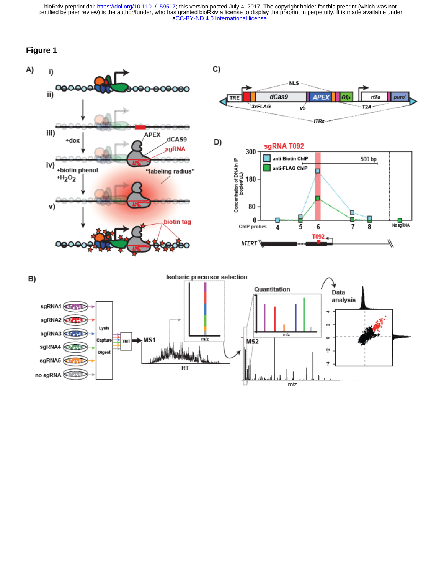# **Figure 1**



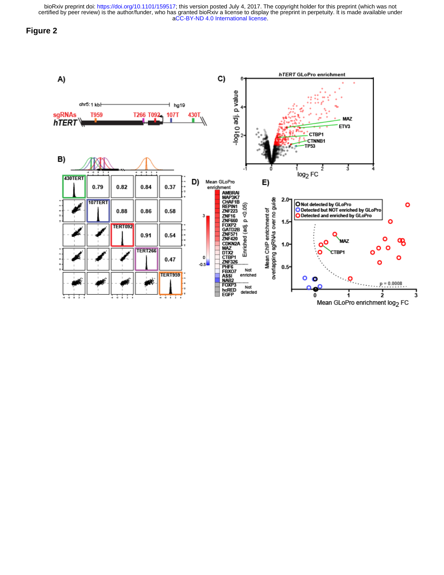## **Figure 2**

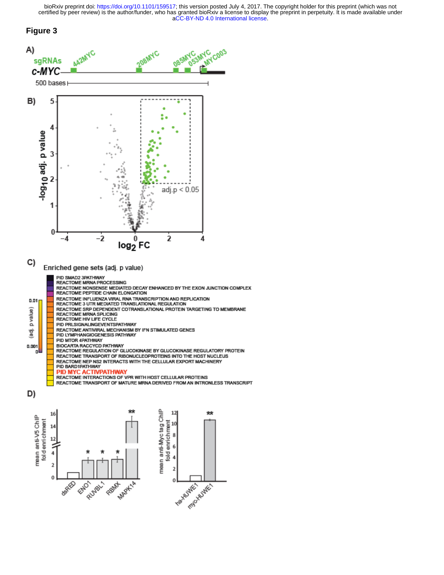#### **Figure 3**

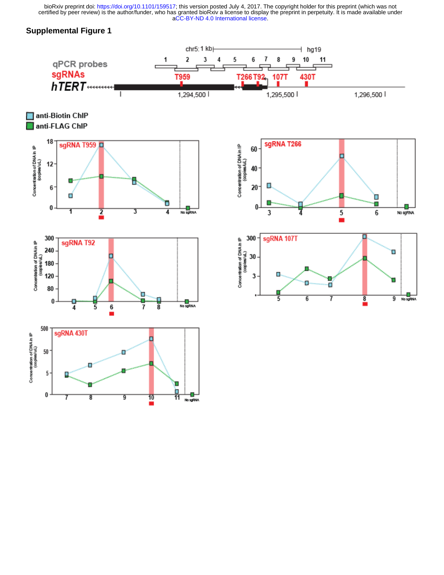# **Supplemental Figure 1**

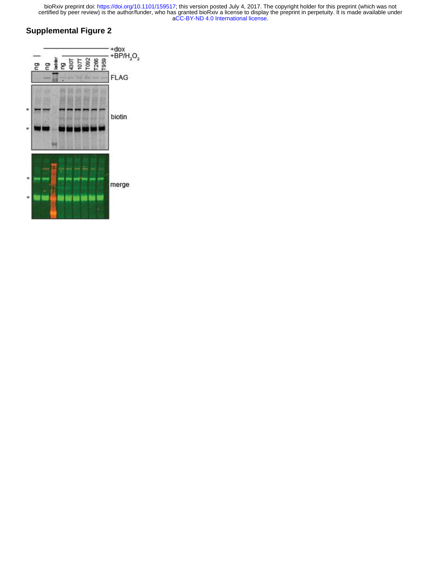# **Supplemental Figure 2**